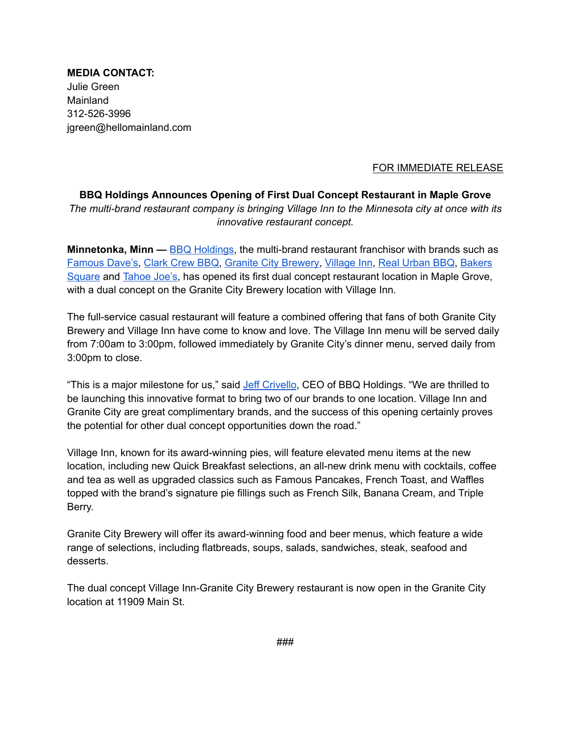**MEDIA CONTACT:** Julie Green Mainland 312-526-3996 jgreen@hellomainland.com

## FOR IMMEDIATE RELEASE

## **BBQ Holdings Announces Opening of First Dual Concept Restaurant in Maple Grove** *The multi-brand restaurant company is bringing Village Inn to the Minnesota city at once with its innovative restaurant concept.*

**Minnetonka, Minn —** BBQ [Holdings](https://www.bbq-holdings.com/), the multi-brand restaurant franchisor with brands such as [Famous](https://www.famousdaves.com/) Dave's, [Clark](https://www.clarkcrewbbq.com/) Crew BBQ, Granite City [Brewery,](https://www.gcfb.com/) [Village](https://www.villageinn.com/) Inn, Real [Urban](http://www.realurbanbbq.com/) BBQ, [Bakers](https://www.bakerssquare.com/) [Square](https://www.bakerssquare.com/) and [Tahoe](https://tahoejoes.com/) Joe's, has opened its first dual concept restaurant location in Maple Grove, with a dual concept on the Granite City Brewery location with Village Inn.

The full-service casual restaurant will feature a combined offering that fans of both Granite City Brewery and Village Inn have come to know and love. The Village Inn menu will be served daily from 7:00am to 3:00pm, followed immediately by Granite City's dinner menu, served daily from 3:00pm to close.

"This is a major milestone for us," said Jeff [Crivello](https://www.linkedin.com/in/jeff-crivello-22b22ba9), CEO of BBQ Holdings. "We are thrilled to be launching this innovative format to bring two of our brands to one location. Village Inn and Granite City are great complimentary brands, and the success of this opening certainly proves the potential for other dual concept opportunities down the road."

Village Inn, known for its award-winning pies, will feature elevated menu items at the new location, including new Quick Breakfast selections, an all-new drink menu with cocktails, coffee and tea as well as upgraded classics such as Famous Pancakes, French Toast, and Waffles topped with the brand's signature pie fillings such as French Silk, Banana Cream, and Triple Berry.

Granite City Brewery will offer its award-winning food and beer menus, which feature a wide range of selections, including flatbreads, soups, salads, sandwiches, steak, seafood and desserts.

The dual concept Village Inn-Granite City Brewery restaurant is now open in the Granite City location at 11909 Main St.